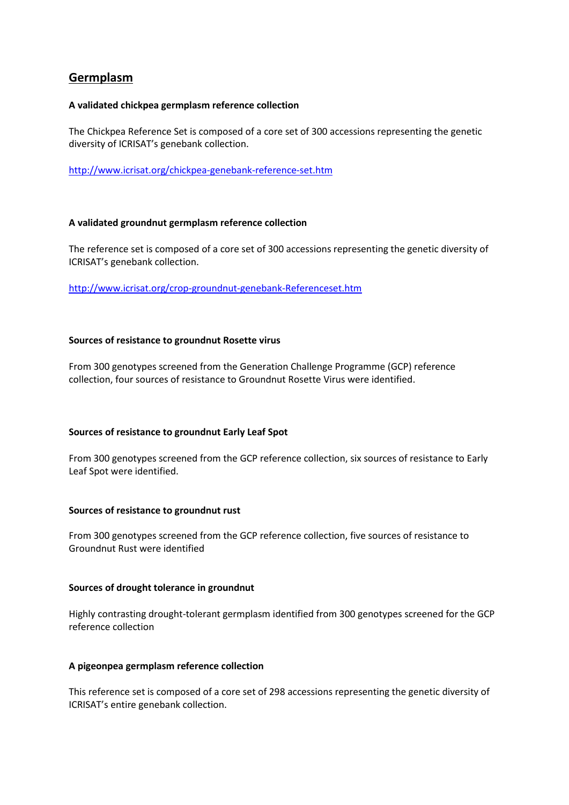# **Germplasm**

#### **A validated chickpea germplasm reference collection**

The Chickpea Reference Set is composed of a core set of 300 accessions representing the genetic diversity of ICRISAT's genebank collection.

<http://www.icrisat.org/chickpea-genebank-reference-set.htm>

#### **A validated groundnut germplasm reference collection**

The reference set is composed of a core set of 300 accessions representing the genetic diversity of ICRISAT's genebank collection.

<http://www.icrisat.org/crop-groundnut-genebank-Referenceset.htm>

#### **Sources of resistance to groundnut Rosette virus**

From 300 genotypes screened from the Generation Challenge Programme (GCP) reference collection, four sources of resistance to Groundnut Rosette Virus were identified.

## **Sources of resistance to groundnut Early Leaf Spot**

From 300 genotypes screened from the GCP reference collection, six sources of resistance to Early Leaf Spot were identified.

#### **Sources of resistance to groundnut rust**

From 300 genotypes screened from the GCP reference collection, five sources of resistance to Groundnut Rust were identified

#### **Sources of drought tolerance in groundnut**

Highly contrasting drought-tolerant germplasm identified from 300 genotypes screened for the GCP reference collection

## **A pigeonpea germplasm reference collection**

This reference set is composed of a core set of 298 accessions representing the genetic diversity of ICRISAT's entire genebank collection.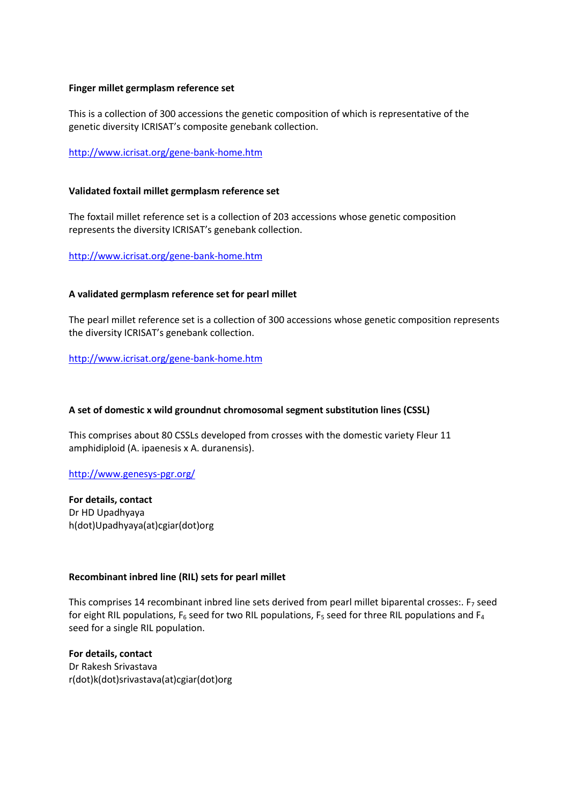#### **Finger millet germplasm reference set**

This is a collection of 300 accessions the genetic composition of which is representative of the genetic diversity ICRISAT's composite genebank collection.

<http://www.icrisat.org/gene-bank-home.htm>

#### **Validated foxtail millet germplasm reference set**

The foxtail millet reference set is a collection of 203 accessions whose genetic composition represents the diversity ICRISAT's genebank collection.

<http://www.icrisat.org/gene-bank-home.htm>

#### **A validated germplasm reference set for pearl millet**

The pearl millet reference set is a collection of 300 accessions whose genetic composition represents the diversity ICRISAT's genebank collection.

<http://www.icrisat.org/gene-bank-home.htm>

## **A set of domestic x wild groundnut chromosomal segment substitution lines (CSSL)**

This comprises about 80 CSSLs developed from crosses with the domestic variety Fleur 11 amphidiploid (A. ipaenesis x A. duranensis).

<http://www.genesys-pgr.org/>

**For details, contact** Dr HD Upadhyaya h(dot)Upadhyaya(at)cgiar(dot)org

#### **Recombinant inbred line (RIL) sets for pearl millet**

This comprises 14 recombinant inbred line sets derived from pearl millet biparental crosses:.  $F_7$  seed for eight RIL populations,  $F_6$  seed for two RIL populations,  $F_5$  seed for three RIL populations and  $F_4$ seed for a single RIL population.

**For details, contact** Dr Rakesh Srivastava r(dot)k(dot)srivastava(at)cgiar(dot)org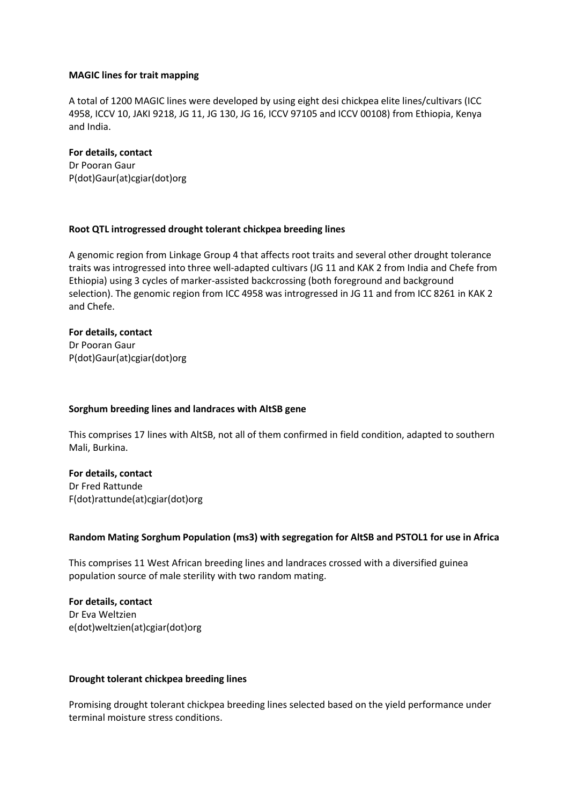#### **MAGIC lines for trait mapping**

A total of 1200 MAGIC lines were developed by using eight desi chickpea elite lines/cultivars (ICC 4958, ICCV 10, JAKI 9218, JG 11, JG 130, JG 16, ICCV 97105 and ICCV 00108) from Ethiopia, Kenya and India.

#### **For details, contact**

Dr Pooran Gaur P(dot)Gaur(at)cgiar(dot)org

## **Root QTL introgressed drought tolerant chickpea breeding lines**

A genomic region from Linkage Group 4 that affects root traits and several other drought tolerance traits was introgressed into three well-adapted cultivars (JG 11 and KAK 2 from India and Chefe from Ethiopia) using 3 cycles of marker-assisted backcrossing (both foreground and background selection). The genomic region from ICC 4958 was introgressed in JG 11 and from ICC 8261 in KAK 2 and Chefe.

## **For details, contact** Dr Pooran Gaur P(dot)Gaur(at)cgiar(dot)org

## **Sorghum breeding lines and landraces with AltSB gene**

This comprises 17 lines with AltSB, not all of them confirmed in field condition, adapted to southern Mali, Burkina.

## **For details, contact**

Dr Fred Rattunde F(dot)rattunde(at)cgiar(dot)org

## **Random Mating Sorghum Population (ms3) with segregation for AltSB and PSTOL1 for use in Africa**

This comprises 11 West African breeding lines and landraces crossed with a diversified guinea population source of male sterility with two random mating.

**For details, contact**  Dr Eva Weltzien e(dot)weltzien(at)cgiar(dot)org

## **Drought tolerant chickpea breeding lines**

Promising drought tolerant chickpea breeding lines selected based on the yield performance under terminal moisture stress conditions.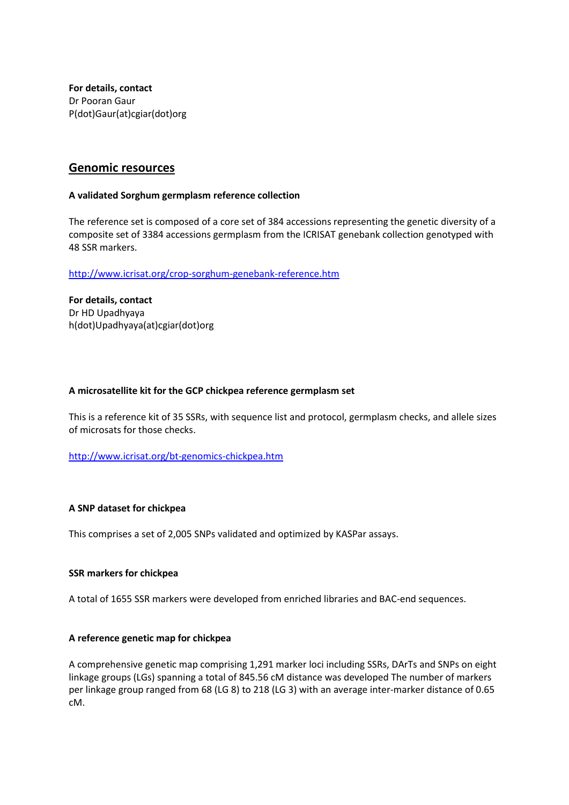**For details, contact** Dr Pooran Gaur P(dot)Gaur(at)cgiar(dot)org

## **Genomic resources**

## **A validated Sorghum germplasm reference collection**

The reference set is composed of a core set of 384 accessions representing the genetic diversity of a composite set of 3384 accessions germplasm from the ICRISAT genebank collection genotyped with 48 SSR markers.

<http://www.icrisat.org/crop-sorghum-genebank-reference.htm>

**For details, contact** Dr HD Upadhyaya h(dot)Upadhyaya(at)cgiar(dot)org

#### **A microsatellite kit for the GCP chickpea reference germplasm set**

This is a reference kit of 35 SSRs, with sequence list and protocol, germplasm checks, and allele sizes of microsats for those checks.

<http://www.icrisat.org/bt-genomics-chickpea.htm>

#### **A SNP dataset for chickpea**

This comprises a set of 2,005 SNPs validated and optimized by KASPar assays.

#### **SSR markers for chickpea**

A total of 1655 SSR markers were developed from enriched libraries and BAC-end sequences.

## **A reference genetic map for chickpea**

A comprehensive genetic map comprising 1,291 marker loci including SSRs, DArTs and SNPs on eight linkage groups (LGs) spanning a total of 845.56 cM distance was developed The number of markers per linkage group ranged from 68 (LG 8) to 218 (LG 3) with an average inter-marker distance of 0.65 cM.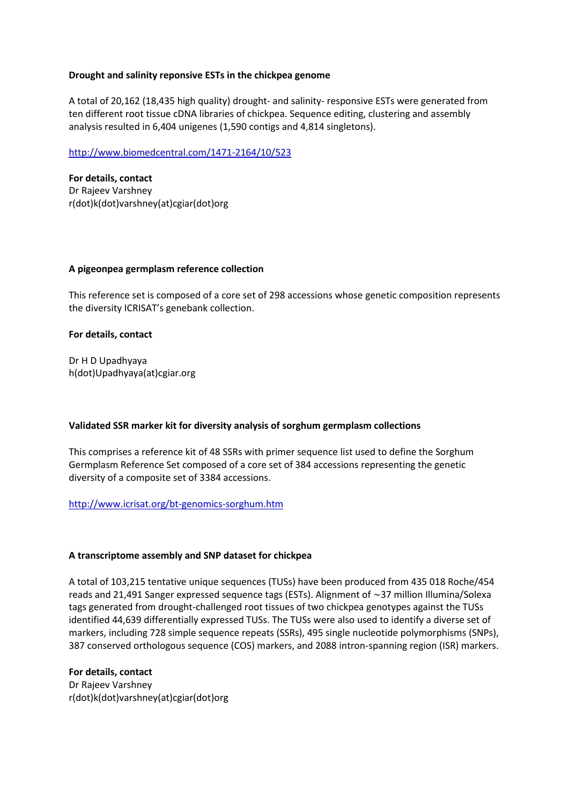## **Drought and salinity reponsive ESTs in the chickpea genome**

A total of 20,162 (18,435 high quality) drought- and salinity- responsive ESTs were generated from ten different root tissue cDNA libraries of chickpea. Sequence editing, clustering and assembly analysis resulted in 6,404 unigenes (1,590 contigs and 4,814 singletons).

<http://www.biomedcentral.com/1471-2164/10/523>

**For details, contact** Dr Rajeev Varshney r(dot)k(dot)varshney(at)cgiar(dot)org

## **A pigeonpea germplasm reference collection**

This reference set is composed of a core set of 298 accessions whose genetic composition represents the diversity ICRISAT's genebank collection.

## **For details, contact**

Dr H D Upadhyaya h(dot)Upadhyaya(at)cgiar.org

## **Validated SSR marker kit for diversity analysis of sorghum germplasm collections**

This comprises a reference kit of 48 SSRs with primer sequence list used to define the Sorghum Germplasm Reference Set composed of a core set of 384 accessions representing the genetic diversity of a composite set of 3384 accessions.

## <http://www.icrisat.org/bt-genomics-sorghum.htm>

## **A transcriptome assembly and SNP dataset for chickpea**

A total of 103,215 tentative unique sequences (TUSs) have been produced from 435 018 Roche/454 reads and 21,491 Sanger expressed sequence tags (ESTs). Alignment of ∼37 million Illumina/Solexa tags generated from drought-challenged root tissues of two chickpea genotypes against the TUSs identified 44,639 differentially expressed TUSs. The TUSs were also used to identify a diverse set of markers, including 728 simple sequence repeats (SSRs), 495 single nucleotide polymorphisms (SNPs), 387 conserved orthologous sequence (COS) markers, and 2088 intron-spanning region (ISR) markers.

#### **For details, contact**

Dr Rajeev Varshney r(dot)k(dot)varshney(at)cgiar(dot)org